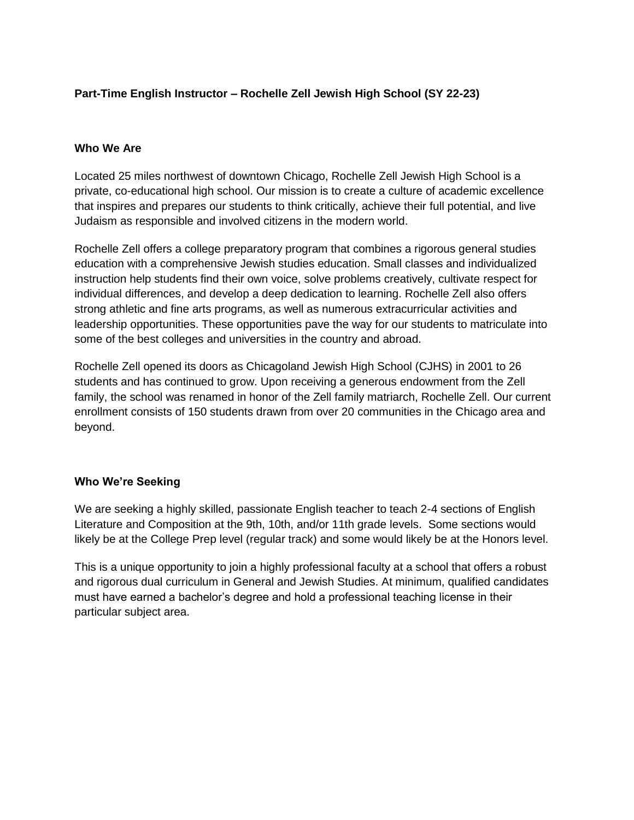# **Part-Time English Instructor – Rochelle Zell Jewish High School (SY 22-23)**

### **Who We Are**

Located 25 miles northwest of downtown Chicago, Rochelle Zell Jewish High School is a private, co-educational high school. Our mission is to create a culture of academic excellence that inspires and prepares our students to think critically, achieve their full potential, and live Judaism as responsible and involved citizens in the modern world.

Rochelle Zell offers a college preparatory program that combines a rigorous general studies education with a comprehensive Jewish studies education. Small classes and individualized instruction help students find their own voice, solve problems creatively, cultivate respect for individual differences, and develop a deep dedication to learning. Rochelle Zell also offers strong athletic and fine arts programs, as well as numerous extracurricular activities and leadership opportunities. These opportunities pave the way for our students to matriculate into some of the best colleges and universities in the country and abroad.

Rochelle Zell opened its doors as Chicagoland Jewish High School (CJHS) in 2001 to 26 students and has continued to grow. Upon receiving a generous endowment from the Zell family, the school was renamed in honor of the Zell family matriarch, Rochelle Zell. Our current enrollment consists of 150 students drawn from over 20 communities in the Chicago area and beyond.

#### **Who We're Seeking**

We are seeking a highly skilled, passionate English teacher to teach 2-4 sections of English Literature and Composition at the 9th, 10th, and/or 11th grade levels. Some sections would likely be at the College Prep level (regular track) and some would likely be at the Honors level.

This is a unique opportunity to join a highly professional faculty at a school that offers a robust and rigorous dual curriculum in General and Jewish Studies. At minimum, qualified candidates must have earned a bachelor's degree and hold a professional teaching license in their particular subject area.